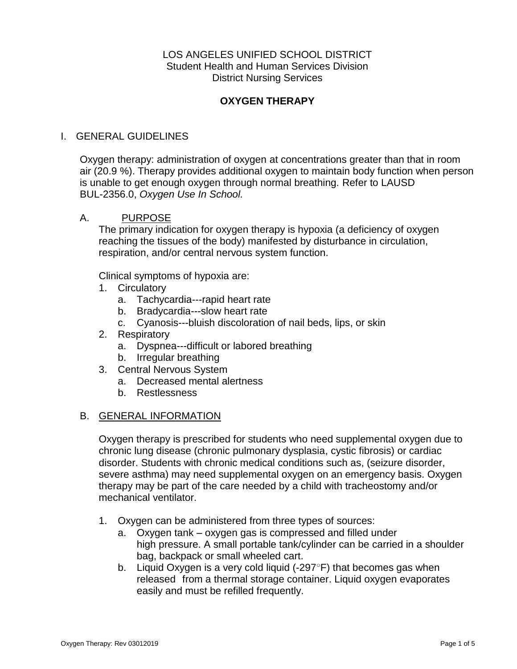## LOS ANGELES UNIFIED SCHOOL DISTRICT Student Health and Human Services Division District Nursing Services

# **OXYGEN THERAPY**

## I. GENERAL GUIDELINES

Oxygen therapy: administration of oxygen at concentrations greater than that in room air (20.9 %). Therapy provides additional oxygen to maintain body function when person is unable to get enough oxygen through normal breathing. Refer to LAUSD BUL-2356.0, *Oxygen Use In School.*

### A. PURPOSE

The primary indication for oxygen therapy is hypoxia (a deficiency of oxygen reaching the tissues of the body) manifested by disturbance in circulation, respiration, and/or central nervous system function.

Clinical symptoms of hypoxia are:

- 1. Circulatory
	- a. Tachycardia---rapid heart rate
	- b. Bradycardia---slow heart rate
	- c. Cyanosis---bluish discoloration of nail beds, lips, or skin
- 2. Respiratory
	- a. Dyspnea---difficult or labored breathing
	- b. Irregular breathing
- 3. Central Nervous System
	- a. Decreased mental alertness
	- b. Restlessness

#### B. GENERAL INFORMATION

Oxygen therapy is prescribed for students who need supplemental oxygen due to chronic lung disease (chronic pulmonary dysplasia, cystic fibrosis) or cardiac disorder. Students with chronic medical conditions such as, (seizure disorder, severe asthma) may need supplemental oxygen on an emergency basis. Oxygen therapy may be part of the care needed by a child with tracheostomy and/or mechanical ventilator.

- 1. Oxygen can be administered from three types of sources:
	- a. Oxygen tank oxygen gas is compressed and filled under high pressure. A small portable tank/cylinder can be carried in a shoulder bag, backpack or small wheeled cart.
	- b. Liquid Oxygen is a very cold liquid (-297°F) that becomes gas when released from a thermal storage container. Liquid oxygen evaporates easily and must be refilled frequently.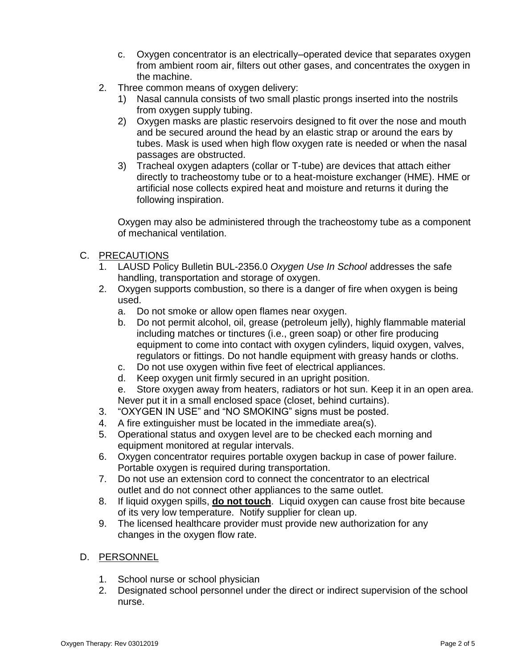- c. Oxygen concentrator is an electrically–operated device that separates oxygen from ambient room air, filters out other gases, and concentrates the oxygen in the machine.
- 2. Three common means of oxygen delivery:
	- 1) Nasal cannula consists of two small plastic prongs inserted into the nostrils from oxygen supply tubing.
	- 2) Oxygen masks are plastic reservoirs designed to fit over the nose and mouth and be secured around the head by an elastic strap or around the ears by tubes. Mask is used when high flow oxygen rate is needed or when the nasal passages are obstructed.
	- 3) Tracheal oxygen adapters (collar or T-tube) are devices that attach either directly to tracheostomy tube or to a heat-moisture exchanger (HME). HME or artificial nose collects expired heat and moisture and returns it during the following inspiration.

Oxygen may also be administered through the tracheostomy tube as a component of mechanical ventilation.

- C. PRECAUTIONS
	- 1. LAUSD Policy Bulletin BUL-2356.0 *Oxygen Use In School* addresses the safe handling, transportation and storage of oxygen.
	- 2. Oxygen supports combustion, so there is a danger of fire when oxygen is being used.
		- a. Do not smoke or allow open flames near oxygen.
		- b. Do not permit alcohol, oil, grease (petroleum jelly), highly flammable material including matches or tinctures (i.e., green soap) or other fire producing equipment to come into contact with oxygen cylinders, liquid oxygen, valves, regulators or fittings. Do not handle equipment with greasy hands or cloths.
		- c. Do not use oxygen within five feet of electrical appliances.
		- d. Keep oxygen unit firmly secured in an upright position.
		- e. Store oxygen away from heaters, radiators or hot sun. Keep it in an open area. Never put it in a small enclosed space (closet, behind curtains).
	- 3. "OXYGEN IN USE" and "NO SMOKING" signs must be posted.
	- 4. A fire extinguisher must be located in the immediate area(s).
	- 5. Operational status and oxygen level are to be checked each morning and equipment monitored at regular intervals.
	- 6. Oxygen concentrator requires portable oxygen backup in case of power failure. Portable oxygen is required during transportation.
	- 7. Do not use an extension cord to connect the concentrator to an electrical outlet and do not connect other appliances to the same outlet.
	- 8. If liquid oxygen spills, **do not touch**. Liquid oxygen can cause frost bite because of its very low temperature. Notify supplier for clean up.
	- 9. The licensed healthcare provider must provide new authorization for any changes in the oxygen flow rate.

# D. PERSONNEL

- 1. School nurse or school physician
- 2. Designated school personnel under the direct or indirect supervision of the school nurse.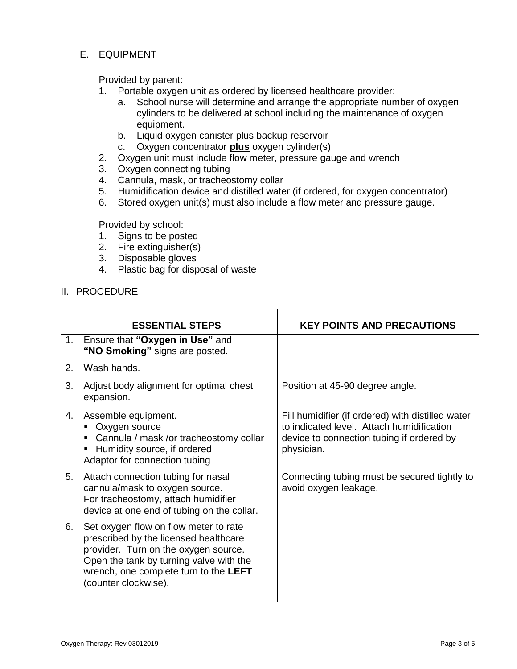### E. EQUIPMENT

Provided by parent:

- 1. Portable oxygen unit as ordered by licensed healthcare provider:
	- a. School nurse will determine and arrange the appropriate number of oxygen cylinders to be delivered at school including the maintenance of oxygen equipment.
	- b. Liquid oxygen canister plus backup reservoir
	- c. Oxygen concentrator **plus** oxygen cylinder(s)
- 2. Oxygen unit must include flow meter, pressure gauge and wrench
- 3. Oxygen connecting tubing
- 4. Cannula, mask, or tracheostomy collar
- 5. Humidification device and distilled water (if ordered, for oxygen concentrator)
- 6. Stored oxygen unit(s) must also include a flow meter and pressure gauge.

Provided by school:

- 1. Signs to be posted
- 2. Fire extinguisher(s)
- 3. Disposable gloves
- 4. Plastic bag for disposal of waste

#### II. PROCEDURE

|    | <b>ESSENTIAL STEPS</b>                                                                                                                                                                                                             | <b>KEY POINTS AND PRECAUTIONS</b>                                                                                                                         |
|----|------------------------------------------------------------------------------------------------------------------------------------------------------------------------------------------------------------------------------------|-----------------------------------------------------------------------------------------------------------------------------------------------------------|
| 1. | Ensure that "Oxygen in Use" and<br>"NO Smoking" signs are posted.                                                                                                                                                                  |                                                                                                                                                           |
| 2. | Wash hands.                                                                                                                                                                                                                        |                                                                                                                                                           |
| 3. | Adjust body alignment for optimal chest<br>expansion.                                                                                                                                                                              | Position at 45-90 degree angle.                                                                                                                           |
| 4. | Assemble equipment.<br>Oxygen source<br>Cannula / mask /or tracheostomy collar<br>Humidity source, if ordered<br>Adaptor for connection tubing                                                                                     | Fill humidifier (if ordered) with distilled water<br>to indicated level. Attach humidification<br>device to connection tubing if ordered by<br>physician. |
| 5. | Attach connection tubing for nasal<br>cannula/mask to oxygen source.<br>For tracheostomy, attach humidifier<br>device at one end of tubing on the collar.                                                                          | Connecting tubing must be secured tightly to<br>avoid oxygen leakage.                                                                                     |
| 6. | Set oxygen flow on flow meter to rate<br>prescribed by the licensed healthcare<br>provider. Turn on the oxygen source.<br>Open the tank by turning valve with the<br>wrench, one complete turn to the LEFT<br>(counter clockwise). |                                                                                                                                                           |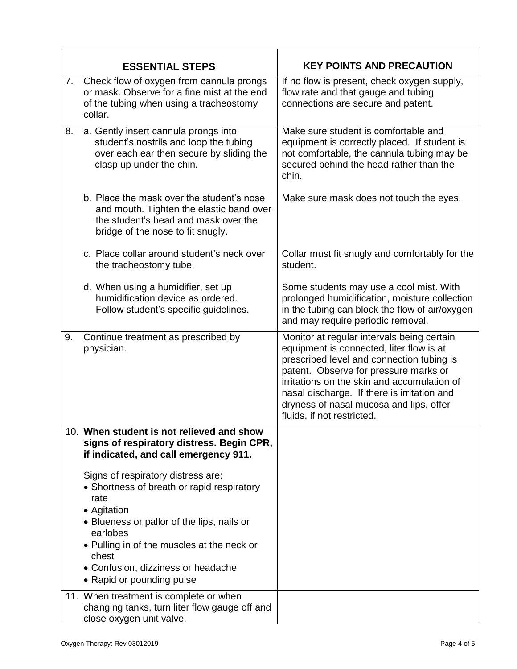|    | <b>ESSENTIAL STEPS</b>                                                                                                                                             | <b>KEY POINTS AND PRECAUTION</b>                                                                                                                                                                                                                                                                                                                    |
|----|--------------------------------------------------------------------------------------------------------------------------------------------------------------------|-----------------------------------------------------------------------------------------------------------------------------------------------------------------------------------------------------------------------------------------------------------------------------------------------------------------------------------------------------|
| 7. | Check flow of oxygen from cannula prongs<br>or mask. Observe for a fine mist at the end<br>of the tubing when using a tracheostomy<br>collar.                      | If no flow is present, check oxygen supply,<br>flow rate and that gauge and tubing<br>connections are secure and patent.                                                                                                                                                                                                                            |
| 8. | a. Gently insert cannula prongs into<br>student's nostrils and loop the tubing<br>over each ear then secure by sliding the<br>clasp up under the chin.             | Make sure student is comfortable and<br>equipment is correctly placed. If student is<br>not comfortable, the cannula tubing may be<br>secured behind the head rather than the<br>chin.                                                                                                                                                              |
|    | b. Place the mask over the student's nose<br>and mouth. Tighten the elastic band over<br>the student's head and mask over the<br>bridge of the nose to fit snugly. | Make sure mask does not touch the eyes.                                                                                                                                                                                                                                                                                                             |
|    | c. Place collar around student's neck over<br>the tracheostomy tube.                                                                                               | Collar must fit snugly and comfortably for the<br>student.                                                                                                                                                                                                                                                                                          |
|    | d. When using a humidifier, set up<br>humidification device as ordered.<br>Follow student's specific guidelines.                                                   | Some students may use a cool mist. With<br>prolonged humidification, moisture collection<br>in the tubing can block the flow of air/oxygen<br>and may require periodic removal.                                                                                                                                                                     |
| 9. | Continue treatment as prescribed by<br>physician.                                                                                                                  | Monitor at regular intervals being certain<br>equipment is connected, liter flow is at<br>prescribed level and connection tubing is<br>patent. Observe for pressure marks or<br>irritations on the skin and accumulation of<br>nasal discharge. If there is irritation and<br>dryness of nasal mucosa and lips, offer<br>fluids, if not restricted. |
|    | 10. When student is not relieved and show<br>signs of respiratory distress. Begin CPR,<br>if indicated, and call emergency 911.                                    |                                                                                                                                                                                                                                                                                                                                                     |
|    | Signs of respiratory distress are:<br>• Shortness of breath or rapid respiratory<br>rate<br>• Agitation<br>• Blueness or pallor of the lips, nails or              |                                                                                                                                                                                                                                                                                                                                                     |
|    | earlobes<br>• Pulling in of the muscles at the neck or<br>chest<br>• Confusion, dizziness or headache<br>• Rapid or pounding pulse                                 |                                                                                                                                                                                                                                                                                                                                                     |
|    | 11. When treatment is complete or when<br>changing tanks, turn liter flow gauge off and<br>close oxygen unit valve.                                                |                                                                                                                                                                                                                                                                                                                                                     |